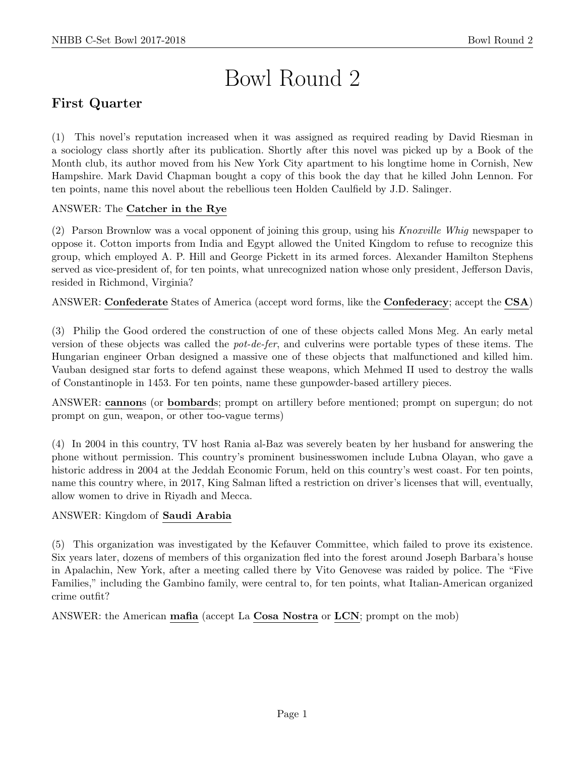# Bowl Round 2

# First Quarter

(1) This novel's reputation increased when it was assigned as required reading by David Riesman in a sociology class shortly after its publication. Shortly after this novel was picked up by a Book of the Month club, its author moved from his New York City apartment to his longtime home in Cornish, New Hampshire. Mark David Chapman bought a copy of this book the day that he killed John Lennon. For ten points, name this novel about the rebellious teen Holden Caulfield by J.D. Salinger.

## ANSWER: The Catcher in the Rye

(2) Parson Brownlow was a vocal opponent of joining this group, using his Knoxville Whig newspaper to oppose it. Cotton imports from India and Egypt allowed the United Kingdom to refuse to recognize this group, which employed A. P. Hill and George Pickett in its armed forces. Alexander Hamilton Stephens served as vice-president of, for ten points, what unrecognized nation whose only president, Jefferson Davis, resided in Richmond, Virginia?

ANSWER: Confederate States of America (accept word forms, like the Confederacy; accept the CSA)

(3) Philip the Good ordered the construction of one of these objects called Mons Meg. An early metal version of these objects was called the pot-de-fer, and culverins were portable types of these items. The Hungarian engineer Orban designed a massive one of these objects that malfunctioned and killed him. Vauban designed star forts to defend against these weapons, which Mehmed II used to destroy the walls of Constantinople in 1453. For ten points, name these gunpowder-based artillery pieces.

ANSWER: cannons (or bombards; prompt on artillery before mentioned; prompt on supergun; do not prompt on gun, weapon, or other too-vague terms)

(4) In 2004 in this country, TV host Rania al-Baz was severely beaten by her husband for answering the phone without permission. This country's prominent businesswomen include Lubna Olayan, who gave a historic address in 2004 at the Jeddah Economic Forum, held on this country's west coast. For ten points, name this country where, in 2017, King Salman lifted a restriction on driver's licenses that will, eventually, allow women to drive in Riyadh and Mecca.

## ANSWER: Kingdom of Saudi Arabia

(5) This organization was investigated by the Kefauver Committee, which failed to prove its existence. Six years later, dozens of members of this organization fled into the forest around Joseph Barbara's house in Apalachin, New York, after a meeting called there by Vito Genovese was raided by police. The "Five Families," including the Gambino family, were central to, for ten points, what Italian-American organized crime outfit?

ANSWER: the American mafia (accept La Cosa Nostra or LCN; prompt on the mob)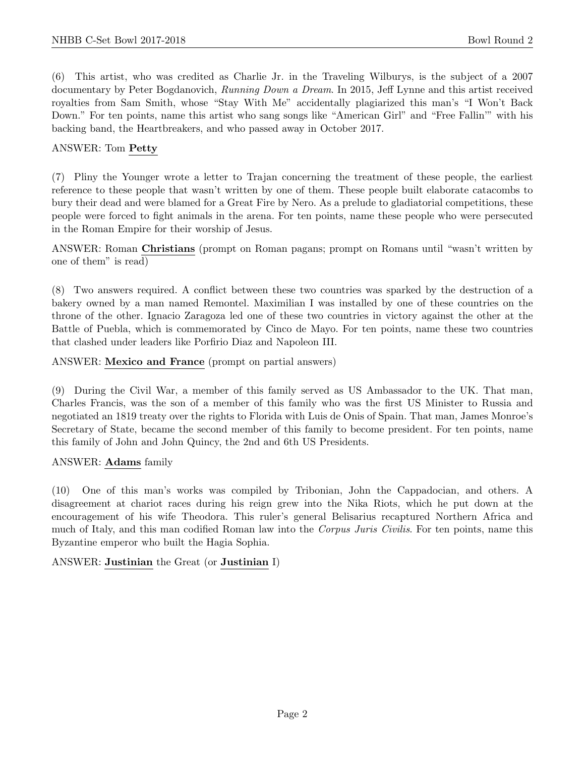(6) This artist, who was credited as Charlie Jr. in the Traveling Wilburys, is the subject of a 2007 documentary by Peter Bogdanovich, Running Down a Dream. In 2015, Jeff Lynne and this artist received royalties from Sam Smith, whose "Stay With Me" accidentally plagiarized this man's "I Won't Back Down." For ten points, name this artist who sang songs like "American Girl" and "Free Fallin'" with his backing band, the Heartbreakers, and who passed away in October 2017.

#### ANSWER: Tom Petty

(7) Pliny the Younger wrote a letter to Trajan concerning the treatment of these people, the earliest reference to these people that wasn't written by one of them. These people built elaborate catacombs to bury their dead and were blamed for a Great Fire by Nero. As a prelude to gladiatorial competitions, these people were forced to fight animals in the arena. For ten points, name these people who were persecuted in the Roman Empire for their worship of Jesus.

ANSWER: Roman Christians (prompt on Roman pagans; prompt on Romans until "wasn't written by one of them" is read)

(8) Two answers required. A conflict between these two countries was sparked by the destruction of a bakery owned by a man named Remontel. Maximilian I was installed by one of these countries on the throne of the other. Ignacio Zaragoza led one of these two countries in victory against the other at the Battle of Puebla, which is commemorated by Cinco de Mayo. For ten points, name these two countries that clashed under leaders like Porfirio Diaz and Napoleon III.

ANSWER: Mexico and France (prompt on partial answers)

(9) During the Civil War, a member of this family served as US Ambassador to the UK. That man, Charles Francis, was the son of a member of this family who was the first US Minister to Russia and negotiated an 1819 treaty over the rights to Florida with Luis de Onis of Spain. That man, James Monroe's Secretary of State, became the second member of this family to become president. For ten points, name this family of John and John Quincy, the 2nd and 6th US Presidents.

#### ANSWER: Adams family

(10) One of this man's works was compiled by Tribonian, John the Cappadocian, and others. A disagreement at chariot races during his reign grew into the Nika Riots, which he put down at the encouragement of his wife Theodora. This ruler's general Belisarius recaptured Northern Africa and much of Italy, and this man codified Roman law into the Corpus Juris Civilis. For ten points, name this Byzantine emperor who built the Hagia Sophia.

ANSWER: Justinian the Great (or Justinian I)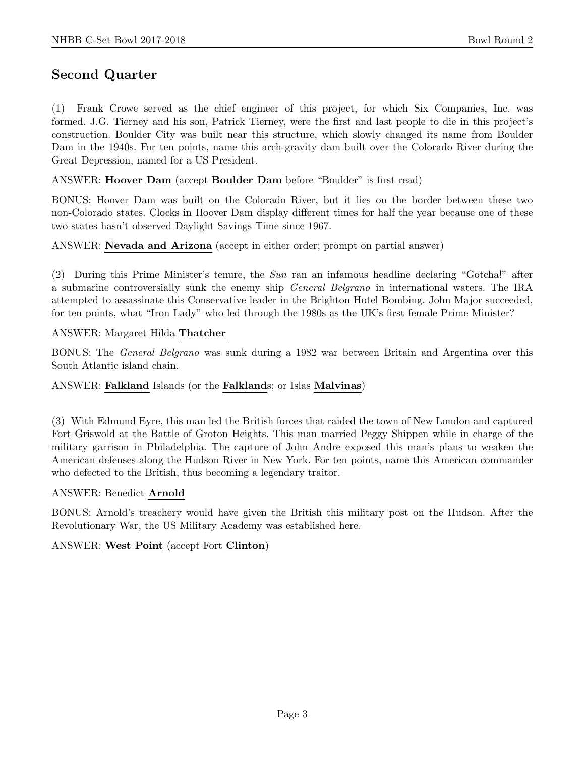# Second Quarter

(1) Frank Crowe served as the chief engineer of this project, for which Six Companies, Inc. was formed. J.G. Tierney and his son, Patrick Tierney, were the first and last people to die in this project's construction. Boulder City was built near this structure, which slowly changed its name from Boulder Dam in the 1940s. For ten points, name this arch-gravity dam built over the Colorado River during the Great Depression, named for a US President.

#### ANSWER: Hoover Dam (accept Boulder Dam before "Boulder" is first read)

BONUS: Hoover Dam was built on the Colorado River, but it lies on the border between these two non-Colorado states. Clocks in Hoover Dam display different times for half the year because one of these two states hasn't observed Daylight Savings Time since 1967.

ANSWER: Nevada and Arizona (accept in either order; prompt on partial answer)

(2) During this Prime Minister's tenure, the Sun ran an infamous headline declaring "Gotcha!" after a submarine controversially sunk the enemy ship General Belgrano in international waters. The IRA attempted to assassinate this Conservative leader in the Brighton Hotel Bombing. John Major succeeded, for ten points, what "Iron Lady" who led through the 1980s as the UK's first female Prime Minister?

ANSWER: Margaret Hilda Thatcher

BONUS: The General Belgrano was sunk during a 1982 war between Britain and Argentina over this South Atlantic island chain.

#### ANSWER: Falkland Islands (or the Falklands; or Islas Malvinas)

(3) With Edmund Eyre, this man led the British forces that raided the town of New London and captured Fort Griswold at the Battle of Groton Heights. This man married Peggy Shippen while in charge of the military garrison in Philadelphia. The capture of John Andre exposed this man's plans to weaken the American defenses along the Hudson River in New York. For ten points, name this American commander who defected to the British, thus becoming a legendary traitor.

#### ANSWER: Benedict Arnold

BONUS: Arnold's treachery would have given the British this military post on the Hudson. After the Revolutionary War, the US Military Academy was established here.

#### ANSWER: West Point (accept Fort Clinton)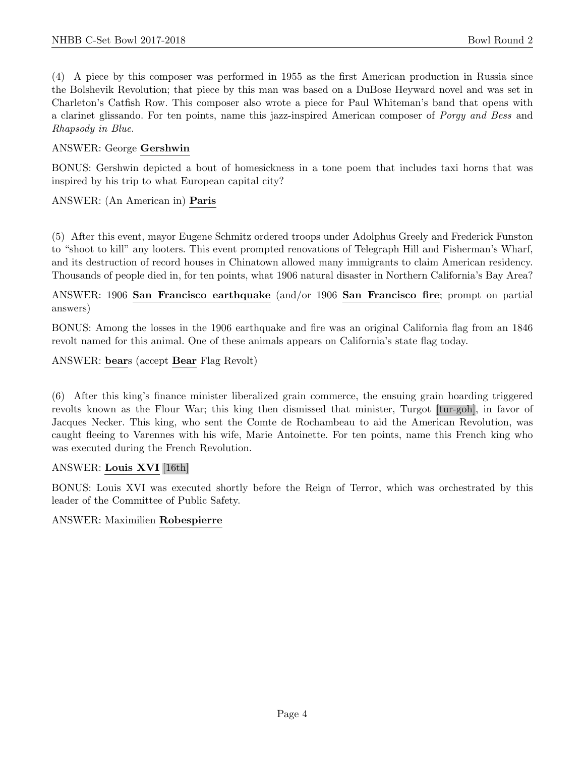(4) A piece by this composer was performed in 1955 as the first American production in Russia since the Bolshevik Revolution; that piece by this man was based on a DuBose Heyward novel and was set in Charleton's Catfish Row. This composer also wrote a piece for Paul Whiteman's band that opens with a clarinet glissando. For ten points, name this jazz-inspired American composer of Porgy and Bess and Rhapsody in Blue.

#### ANSWER: George Gershwin

BONUS: Gershwin depicted a bout of homesickness in a tone poem that includes taxi horns that was inspired by his trip to what European capital city?

#### ANSWER: (An American in) Paris

(5) After this event, mayor Eugene Schmitz ordered troops under Adolphus Greely and Frederick Funston to "shoot to kill" any looters. This event prompted renovations of Telegraph Hill and Fisherman's Wharf, and its destruction of record houses in Chinatown allowed many immigrants to claim American residency. Thousands of people died in, for ten points, what 1906 natural disaster in Northern California's Bay Area?

#### ANSWER: 1906 San Francisco earthquake (and/or 1906 San Francisco fire; prompt on partial answers)

BONUS: Among the losses in the 1906 earthquake and fire was an original California flag from an 1846 revolt named for this animal. One of these animals appears on California's state flag today.

ANSWER: bears (accept Bear Flag Revolt)

(6) After this king's finance minister liberalized grain commerce, the ensuing grain hoarding triggered revolts known as the Flour War; this king then dismissed that minister, Turgot [tur-goh], in favor of Jacques Necker. This king, who sent the Comte de Rochambeau to aid the American Revolution, was caught fleeing to Varennes with his wife, Marie Antoinette. For ten points, name this French king who was executed during the French Revolution.

#### ANSWER: Louis XVI [16th]

BONUS: Louis XVI was executed shortly before the Reign of Terror, which was orchestrated by this leader of the Committee of Public Safety.

#### ANSWER: Maximilien Robespierre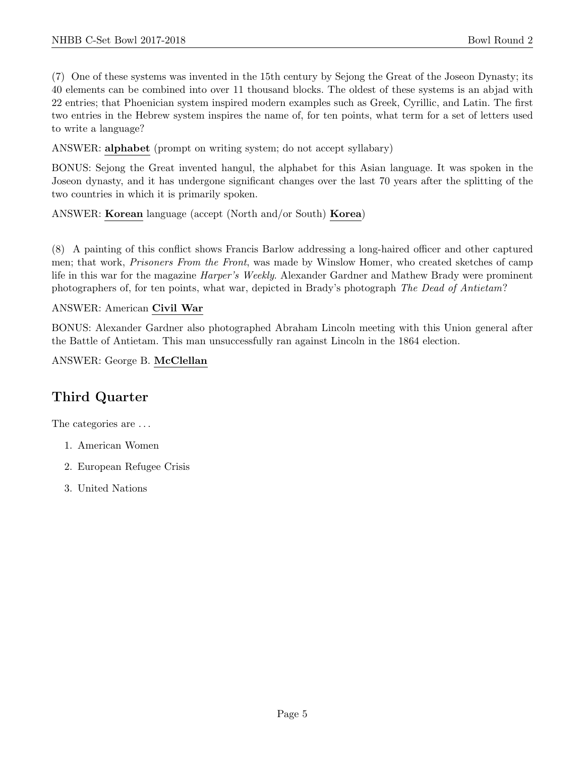(7) One of these systems was invented in the 15th century by Sejong the Great of the Joseon Dynasty; its 40 elements can be combined into over 11 thousand blocks. The oldest of these systems is an abjad with 22 entries; that Phoenician system inspired modern examples such as Greek, Cyrillic, and Latin. The first two entries in the Hebrew system inspires the name of, for ten points, what term for a set of letters used to write a language?

ANSWER: alphabet (prompt on writing system; do not accept syllabary)

BONUS: Sejong the Great invented hangul, the alphabet for this Asian language. It was spoken in the Joseon dynasty, and it has undergone significant changes over the last 70 years after the splitting of the two countries in which it is primarily spoken.

ANSWER: Korean language (accept (North and/or South) Korea)

(8) A painting of this conflict shows Francis Barlow addressing a long-haired officer and other captured men; that work, Prisoners From the Front, was made by Winslow Homer, who created sketches of camp life in this war for the magazine *Harper's Weekly*. Alexander Gardner and Mathew Brady were prominent photographers of, for ten points, what war, depicted in Brady's photograph The Dead of Antietam?

#### ANSWER: American Civil War

BONUS: Alexander Gardner also photographed Abraham Lincoln meeting with this Union general after the Battle of Antietam. This man unsuccessfully ran against Lincoln in the 1864 election.

ANSWER: George B. McClellan

# Third Quarter

The categories are  $\dots$ 

- 1. American Women
- 2. European Refugee Crisis
- 3. United Nations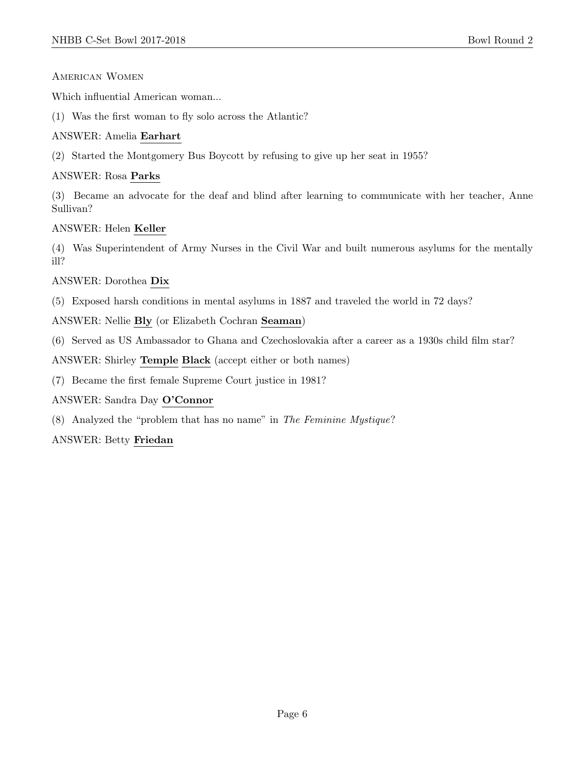#### American Women

Which influential American woman...

(1) Was the first woman to fly solo across the Atlantic?

#### ANSWER: Amelia Earhart

(2) Started the Montgomery Bus Boycott by refusing to give up her seat in 1955?

#### ANSWER: Rosa Parks

(3) Became an advocate for the deaf and blind after learning to communicate with her teacher, Anne Sullivan?

#### ANSWER: Helen Keller

(4) Was Superintendent of Army Nurses in the Civil War and built numerous asylums for the mentally ill?

#### ANSWER: Dorothea Dix

(5) Exposed harsh conditions in mental asylums in 1887 and traveled the world in 72 days?

ANSWER: Nellie Bly (or Elizabeth Cochran Seaman)

(6) Served as US Ambassador to Ghana and Czechoslovakia after a career as a 1930s child film star?

ANSWER: Shirley Temple Black (accept either or both names)

(7) Became the first female Supreme Court justice in 1981?

ANSWER: Sandra Day O'Connor

(8) Analyzed the "problem that has no name" in The Feminine Mystique?

ANSWER: Betty Friedan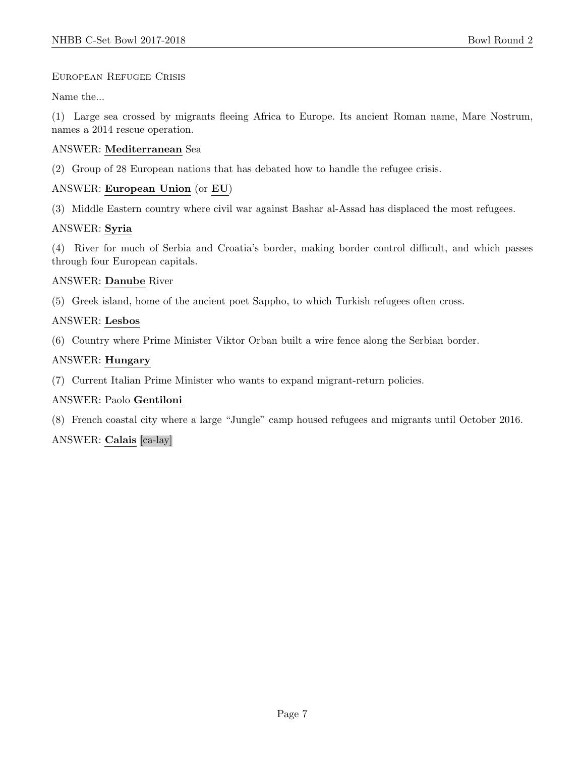#### European Refugee Crisis

Name the...

(1) Large sea crossed by migrants fleeing Africa to Europe. Its ancient Roman name, Mare Nostrum, names a 2014 rescue operation.

#### ANSWER: Mediterranean Sea

(2) Group of 28 European nations that has debated how to handle the refugee crisis.

#### ANSWER: European Union (or EU)

(3) Middle Eastern country where civil war against Bashar al-Assad has displaced the most refugees.

#### ANSWER: Syria

(4) River for much of Serbia and Croatia's border, making border control difficult, and which passes through four European capitals.

#### ANSWER: Danube River

(5) Greek island, home of the ancient poet Sappho, to which Turkish refugees often cross.

#### ANSWER: Lesbos

(6) Country where Prime Minister Viktor Orban built a wire fence along the Serbian border.

#### ANSWER: Hungary

(7) Current Italian Prime Minister who wants to expand migrant-return policies.

## ANSWER: Paolo Gentiloni

(8) French coastal city where a large "Jungle" camp housed refugees and migrants until October 2016.

## ANSWER: Calais [ca-lay]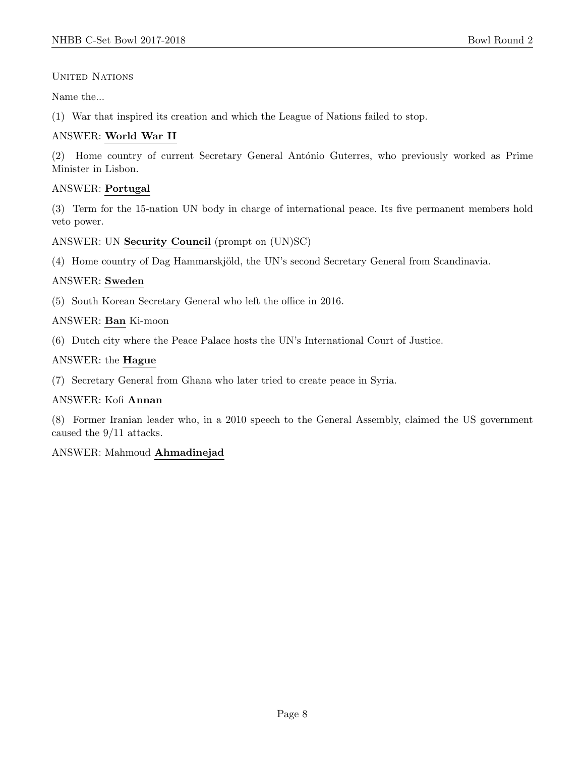UNITED NATIONS

Name the...

(1) War that inspired its creation and which the League of Nations failed to stop.

## ANSWER: World War II

(2) Home country of current Secretary General António Guterres, who previously worked as Prime Minister in Lisbon.

## ANSWER: Portugal

(3) Term for the 15-nation UN body in charge of international peace. Its five permanent members hold veto power.

ANSWER: UN Security Council (prompt on (UN)SC)

(4) Home country of Dag Hammarskjöld, the UN's second Secretary General from Scandinavia.

#### ANSWER: Sweden

(5) South Korean Secretary General who left the office in 2016.

#### ANSWER: Ban Ki-moon

(6) Dutch city where the Peace Palace hosts the UN's International Court of Justice.

## ANSWER: the Hague

(7) Secretary General from Ghana who later tried to create peace in Syria.

#### ANSWER: Kofi Annan

(8) Former Iranian leader who, in a 2010 speech to the General Assembly, claimed the US government caused the 9/11 attacks.

## ANSWER: Mahmoud Ahmadinejad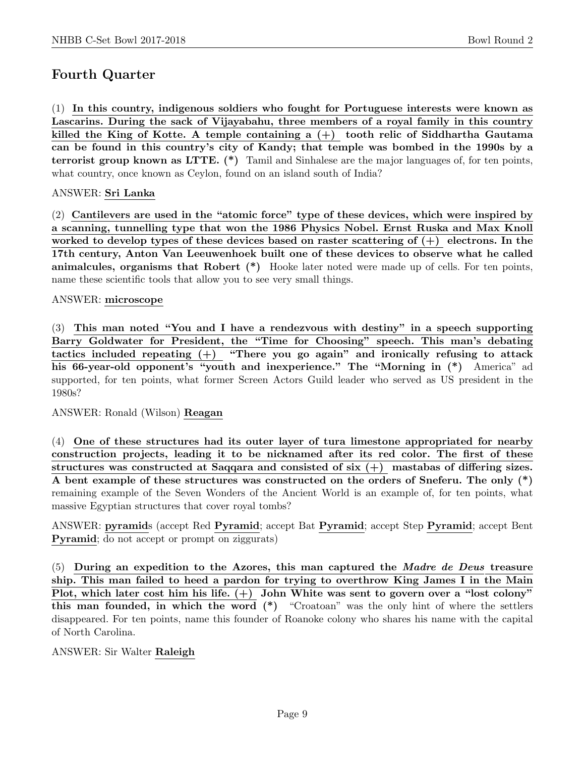# Fourth Quarter

(1) In this country, indigenous soldiers who fought for Portuguese interests were known as Lascarins. During the sack of Vijayabahu, three members of a royal family in this country killed the King of Kotte. A temple containing a  $(+)$  tooth relic of Siddhartha Gautama can be found in this country's city of Kandy; that temple was bombed in the 1990s by a terrorist group known as LTTE. (\*) Tamil and Sinhalese are the major languages of, for ten points, what country, once known as Ceylon, found on an island south of India?

#### ANSWER: Sri Lanka

(2) Cantilevers are used in the "atomic force" type of these devices, which were inspired by a scanning, tunnelling type that won the 1986 Physics Nobel. Ernst Ruska and Max Knoll worked to develop types of these devices based on raster scattering of  $(+)$  electrons. In the 17th century, Anton Van Leeuwenhoek built one of these devices to observe what he called animalcules, organisms that Robert (\*) Hooke later noted were made up of cells. For ten points, name these scientific tools that allow you to see very small things.

#### ANSWER: microscope

(3) This man noted "You and I have a rendezvous with destiny" in a speech supporting Barry Goldwater for President, the "Time for Choosing" speech. This man's debating tactics included repeating  $(+)$  "There you go again" and ironically refusing to attack his 66-year-old opponent's "youth and inexperience." The "Morning in  $(*)$  America" ad supported, for ten points, what former Screen Actors Guild leader who served as US president in the 1980s?

#### ANSWER: Ronald (Wilson) Reagan

(4) One of these structures had its outer layer of tura limestone appropriated for nearby construction projects, leading it to be nicknamed after its red color. The first of these structures was constructed at Saqqara and consisted of six (+) mastabas of differing sizes. A bent example of these structures was constructed on the orders of Sneferu. The only (\*) remaining example of the Seven Wonders of the Ancient World is an example of, for ten points, what massive Egyptian structures that cover royal tombs?

ANSWER: pyramids (accept Red Pyramid; accept Bat Pyramid; accept Step Pyramid; accept Bent Pyramid; do not accept or prompt on ziggurats)

(5) During an expedition to the Azores, this man captured the Madre de Deus treasure ship. This man failed to heed a pardon for trying to overthrow King James I in the Main Plot, which later cost him his life.  $(+)$  John White was sent to govern over a "lost colony" this man founded, in which the word (\*) "Croatoan" was the only hint of where the settlers disappeared. For ten points, name this founder of Roanoke colony who shares his name with the capital of North Carolina.

#### ANSWER: Sir Walter Raleigh